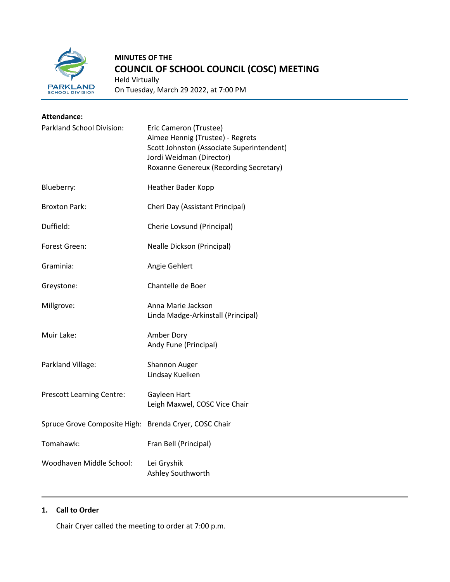

# **MINUTES OF THE COUNCIL OF SCHOOL COUNCIL (COSC) MEETING**

Held Virtually On Tuesday, March 29 2022, at 7:00 PM

| <b>Attendance:</b>                                    |                                                                                                                                                                               |  |
|-------------------------------------------------------|-------------------------------------------------------------------------------------------------------------------------------------------------------------------------------|--|
| Parkland School Division:                             | Eric Cameron (Trustee)<br>Aimee Hennig (Trustee) - Regrets<br>Scott Johnston (Associate Superintendent)<br>Jordi Weidman (Director)<br>Roxanne Genereux (Recording Secretary) |  |
| Blueberry:                                            | Heather Bader Kopp                                                                                                                                                            |  |
| <b>Broxton Park:</b>                                  | Cheri Day (Assistant Principal)                                                                                                                                               |  |
| Duffield:                                             | Cherie Lovsund (Principal)                                                                                                                                                    |  |
| Forest Green:                                         | <b>Nealle Dickson (Principal)</b>                                                                                                                                             |  |
| Graminia:                                             | Angie Gehlert                                                                                                                                                                 |  |
| Greystone:                                            | Chantelle de Boer                                                                                                                                                             |  |
| Millgrove:                                            | Anna Marie Jackson<br>Linda Madge-Arkinstall (Principal)                                                                                                                      |  |
| Muir Lake:                                            | Amber Dory<br>Andy Fune (Principal)                                                                                                                                           |  |
| Parkland Village:                                     | <b>Shannon Auger</b><br>Lindsay Kuelken                                                                                                                                       |  |
| <b>Prescott Learning Centre:</b>                      | Gayleen Hart<br>Leigh Maxwel, COSC Vice Chair                                                                                                                                 |  |
| Spruce Grove Composite High: Brenda Cryer, COSC Chair |                                                                                                                                                                               |  |
| Tomahawk:                                             | Fran Bell (Principal)                                                                                                                                                         |  |
| Woodhaven Middle School:                              | Lei Gryshik<br>Ashley Southworth                                                                                                                                              |  |

## **1. Call to Order**

Chair Cryer called the meeting to order at 7:00 p.m.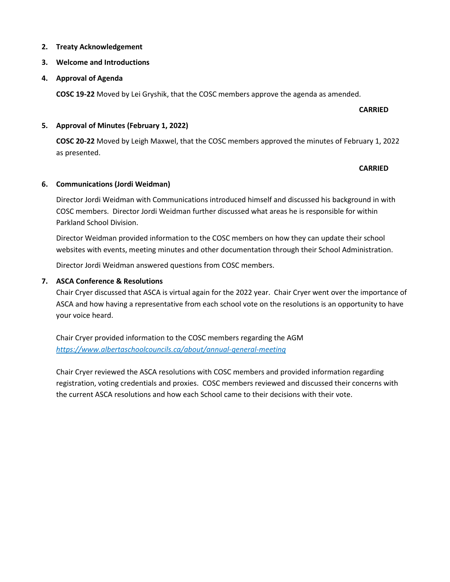#### **2. Treaty Acknowledgement**

#### **3. Welcome and Introductions**

#### **4. Approval of Agenda**

**COSC 19-22** Moved by Lei Gryshik, that the COSC members approve the agenda as amended.

### **CARRIED**

#### **5. Approval of Minutes (February 1, 2022)**

**COSC 20-22** Moved by Leigh Maxwel, that the COSC members approved the minutes of February 1, 2022 as presented.

### **CARRIED**

### **6. Communications (Jordi Weidman)**

Director Jordi Weidman with Communications introduced himself and discussed his background in with COSC members. Director Jordi Weidman further discussed what areas he is responsible for within Parkland School Division.

Director Weidman provided information to the COSC members on how they can update their school websites with events, meeting minutes and other documentation through their School Administration.

Director Jordi Weidman answered questions from COSC members.

### **7. ASCA Conference & Resolutions**

Chair Cryer discussed that ASCA is virtual again for the 2022 year. Chair Cryer went over the importance of ASCA and how having a representative from each school vote on the resolutions is an opportunity to have your voice heard.

Chair Cryer provided information to the COSC members regarding the AGM *<https://www.albertaschoolcouncils.ca/about/annual-general-meeting>*

Chair Cryer reviewed the ASCA resolutions with COSC members and provided information regarding registration, voting credentials and proxies. COSC members reviewed and discussed their concerns with the current ASCA resolutions and how each School came to their decisions with their vote.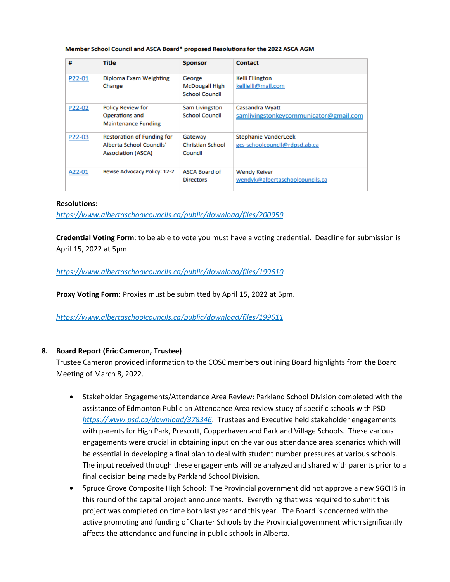| #      | <b>Title</b>                                                                               | <b>Sponsor</b>                                           | <b>Contact</b>                                               |
|--------|--------------------------------------------------------------------------------------------|----------------------------------------------------------|--------------------------------------------------------------|
| P22-01 | Diploma Exam Weighting<br>Change                                                           | George<br><b>McDougall High</b><br><b>School Council</b> | <b>Kelli Ellington</b><br>kellielli@mail.com                 |
| P22-02 | <b>Policy Review for</b><br>Operations and<br><b>Maintenance Funding</b>                   | Sam Livingston<br><b>School Council</b>                  | Cassandra Wyatt<br>samlivingstonkeycommunicator@gmail.com    |
| P22-03 | <b>Restoration of Funding for</b><br>Alberta School Councils'<br><b>Association (ASCA)</b> | Gateway<br><b>Christian School</b><br>Council            | <b>Stephanie VanderLeek</b><br>gcs-schoolcouncil@rdpsd.ab.ca |
| A22-01 | <b>Revise Advocacy Policy: 12-2</b>                                                        | <b>ASCA Board of</b><br><b>Directors</b>                 | <b>Wendy Keiver</b><br>wendyk@albertaschoolcouncils.ca       |

#### Member School Council and ASCA Board\* proposed Resolutions for the 2022 ASCA AGM

#### **Resolutions:**

*<https://www.albertaschoolcouncils.ca/public/download/files/200959>*

**Credential Voting Form**: to be able to vote you must have a voting credential. Deadline for submission is April 15, 2022 at 5pm

*<https://www.albertaschoolcouncils.ca/public/download/files/199610>*

**Proxy Voting Form**: Proxies must be submitted by April 15, 2022 at 5pm.

*<https://www.albertaschoolcouncils.ca/public/download/files/199611>*

#### **8. Board Report (Eric Cameron, Trustee)**

Trustee Cameron provided information to the COSC members outlining Board highlights from the Board Meeting of March 8, 2022.

- Stakeholder Engagements/Attendance Area Review: Parkland School Division completed with the assistance of Edmonton Public an Attendance Area review study of specific schools with PSD *<https://www.psd.ca/download/378346>*. Trustees and Executive held stakeholder engagements with parents for High Park, Prescott, Copperhaven and Parkland Village Schools. These various engagements were crucial in obtaining input on the various attendance area scenarios which will be essential in developing a final plan to deal with student number pressures at various schools. The input received through these engagements will be analyzed and shared with parents prior to a final decision being made by Parkland School Division.
- Spruce Grove Composite High School: The Provincial government did not approve a new SGCHS in this round of the capital project announcements. Everything that was required to submit this project was completed on time both last year and this year. The Board is concerned with the active promoting and funding of Charter Schools by the Provincial government which significantly affects the attendance and funding in public schools in Alberta.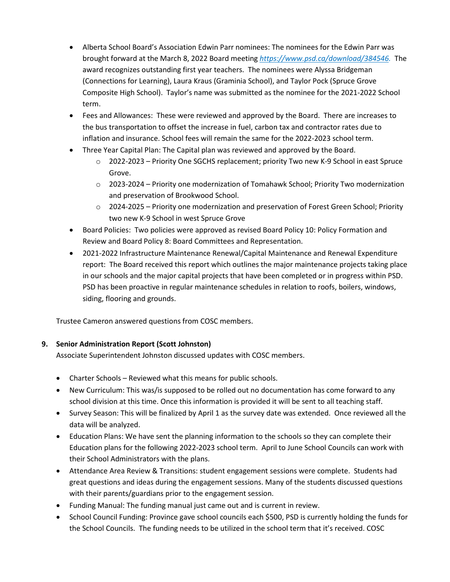- Alberta School Board's Association Edwin Parr nominees: The nominees for the Edwin Parr was brought forward at the March 8, 2022 Board meeting *[https://www.psd.ca/download/384546.](https://www.psd.ca/download/384546)* The award recognizes outstanding first year teachers. The nominees were Alyssa Bridgeman (Connections for Learning), Laura Kraus (Graminia School), and Taylor Pock (Spruce Grove Composite High School). Taylor's name was submitted as the nominee for the 2021-2022 School term.
- Fees and Allowances: These were reviewed and approved by the Board. There are increases to the bus transportation to offset the increase in fuel, carbon tax and contractor rates due to inflation and insurance. School fees will remain the same for the 2022-2023 school term.
- Three Year Capital Plan: The Capital plan was reviewed and approved by the Board.
	- o 2022-2023 Priority One SGCHS replacement; priority Two new K-9 School in east Spruce Grove.
	- o 2023-2024 Priority one modernization of Tomahawk School; Priority Two modernization and preservation of Brookwood School.
	- $\circ$  2024-2025 Priority one modernization and preservation of Forest Green School; Priority two new K-9 School in west Spruce Grove
- Board Policies: Two policies were approved as revised Board Policy 10: Policy Formation and Review and Board Policy 8: Board Committees and Representation.
- 2021-2022 Infrastructure Maintenance Renewal/Capital Maintenance and Renewal Expenditure report: The Board received this report which outlines the major maintenance projects taking place in our schools and the major capital projects that have been completed or in progress within PSD. PSD has been proactive in regular maintenance schedules in relation to roofs, boilers, windows, siding, flooring and grounds.

Trustee Cameron answered questions from COSC members.

# **9. Senior Administration Report (Scott Johnston)**

Associate Superintendent Johnston discussed updates with COSC members.

- Charter Schools Reviewed what this means for public schools.
- New Curriculum: This was/is supposed to be rolled out no documentation has come forward to any school division at this time. Once this information is provided it will be sent to all teaching staff.
- Survey Season: This will be finalized by April 1 as the survey date was extended. Once reviewed all the data will be analyzed.
- Education Plans: We have sent the planning information to the schools so they can complete their Education plans for the following 2022-2023 school term. April to June School Councils can work with their School Administrators with the plans.
- Attendance Area Review & Transitions: student engagement sessions were complete. Students had great questions and ideas during the engagement sessions. Many of the students discussed questions with their parents/guardians prior to the engagement session.
- Funding Manual: The funding manual just came out and is current in review.
- School Council Funding: Province gave school councils each \$500, PSD is currently holding the funds for the School Councils. The funding needs to be utilized in the school term that it's received. COSC